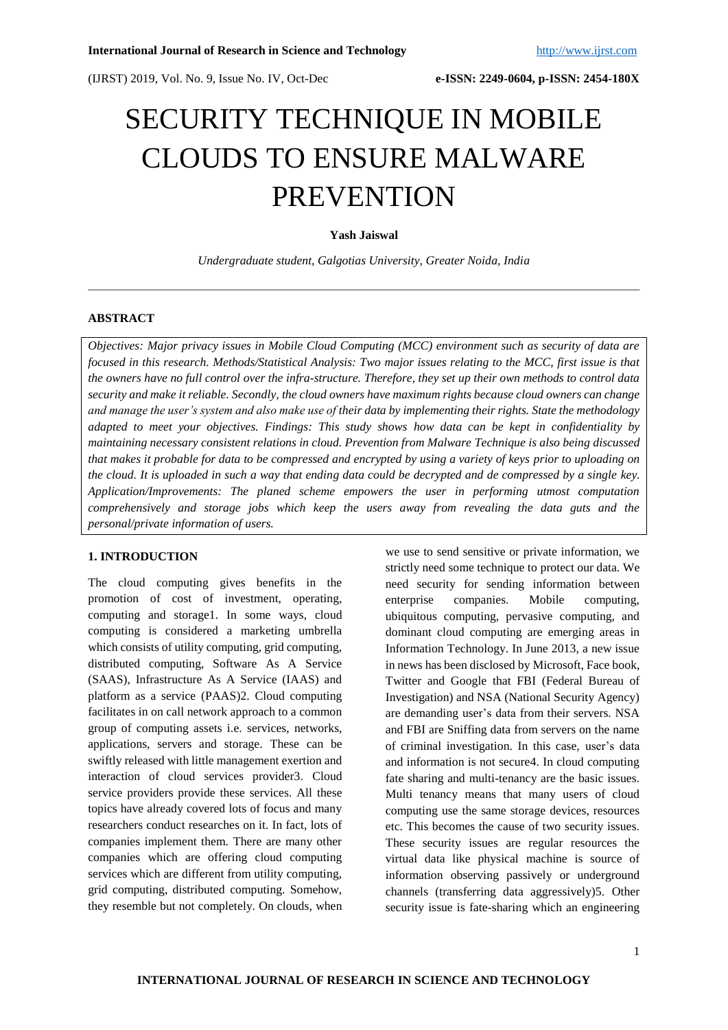# SECURITY TECHNIQUE IN MOBILE CLOUDS TO ENSURE MALWARE PREVENTION

# **Yash Jaiswal**

*Undergraduate student, Galgotias University, Greater Noida, India*

# **ABSTRACT**

*Objectives: Major privacy issues in Mobile Cloud Computing (MCC) environment such as security of data are focused in this research. Methods/Statistical Analysis: Two major issues relating to the MCC, first issue is that the owners have no full control over the infra-structure. Therefore, they set up their own methods to control data security and make it reliable. Secondly, the cloud owners have maximum rights because cloud owners can change and manage the user's system and also make use of their data by implementing their rights. State the methodology adapted to meet your objectives. Findings: This study shows how data can be kept in confidentiality by maintaining necessary consistent relations in cloud. Prevention from Malware Technique is also being discussed that makes it probable for data to be compressed and encrypted by using a variety of keys prior to uploading on the cloud. It is uploaded in such a way that ending data could be decrypted and de compressed by a single key. Application/Improvements: The planed scheme empowers the user in performing utmost computation comprehensively and storage jobs which keep the users away from revealing the data guts and the personal/private information of users.*

# **1. INTRODUCTION**

The cloud computing gives benefits in the promotion of cost of investment, operating, computing and storage1. In some ways, cloud computing is considered a marketing umbrella which consists of utility computing, grid computing, distributed computing, Software As A Service (SAAS), Infrastructure As A Service (IAAS) and platform as a service (PAAS)2. Cloud computing facilitates in on call network approach to a common group of computing assets i.e. services, networks, applications, servers and storage. These can be swiftly released with little management exertion and interaction of cloud services provider3. Cloud service providers provide these services. All these topics have already covered lots of focus and many researchers conduct researches on it. In fact, lots of companies implement them. There are many other companies which are offering cloud computing services which are different from utility computing, grid computing, distributed computing. Somehow, they resemble but not completely. On clouds, when

we use to send sensitive or private information, we strictly need some technique to protect our data. We need security for sending information between enterprise companies. Mobile computing, ubiquitous computing, pervasive computing, and dominant cloud computing are emerging areas in Information Technology. In June 2013, a new issue in news has been disclosed by Microsoft, Face book, Twitter and Google that FBI (Federal Bureau of Investigation) and NSA (National Security Agency) are demanding user's data from their servers. NSA and FBI are Sniffing data from servers on the name of criminal investigation. In this case, user's data and information is not secure4. In cloud computing fate sharing and multi-tenancy are the basic issues. Multi tenancy means that many users of cloud computing use the same storage devices, resources etc. This becomes the cause of two security issues. These security issues are regular resources the virtual data like physical machine is source of information observing passively or underground channels (transferring data aggressively)5. Other security issue is fate-sharing which an engineering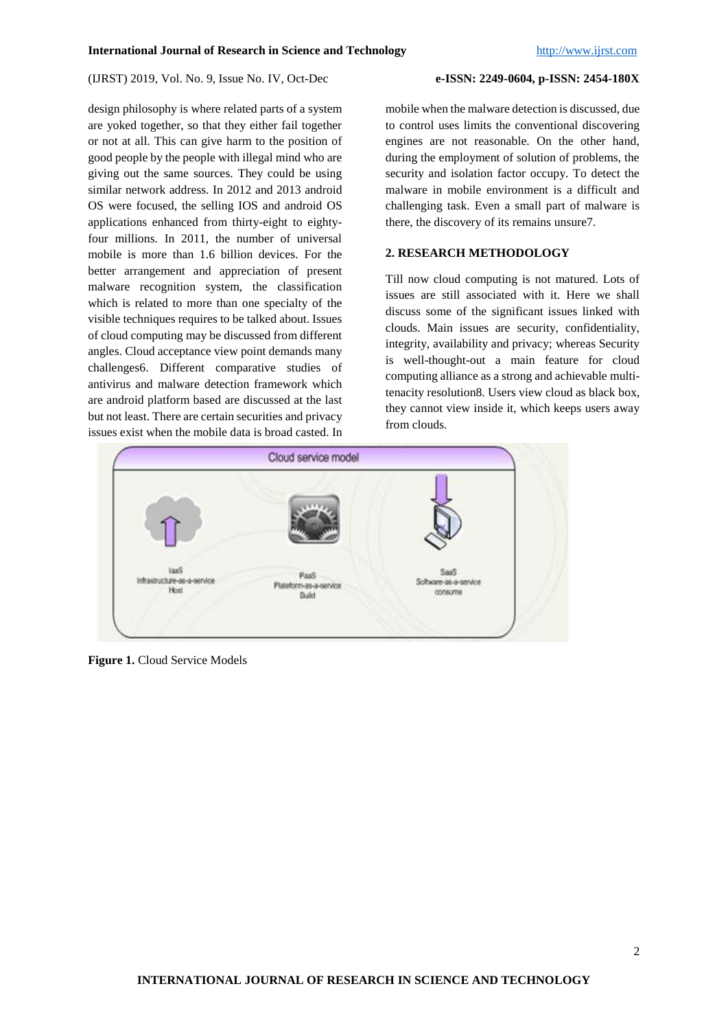design philosophy is where related parts of a system are yoked together, so that they either fail together or not at all. This can give harm to the position of good people by the people with illegal mind who are giving out the same sources. They could be using similar network address. In 2012 and 2013 android OS were focused, the selling IOS and android OS applications enhanced from thirty-eight to eightyfour millions. In 2011, the number of universal mobile is more than 1.6 billion devices. For the better arrangement and appreciation of present malware recognition system, the classification which is related to more than one specialty of the visible techniques requires to be talked about. Issues of cloud computing may be discussed from different angles. Cloud acceptance view point demands many challenges6. Different comparative studies of antivirus and malware detection framework which are android platform based are discussed at the last but not least. There are certain securities and privacy issues exist when the mobile data is broad casted. In

mobile when the malware detection is discussed, due to control uses limits the conventional discovering engines are not reasonable. On the other hand, during the employment of solution of problems, the security and isolation factor occupy. To detect the malware in mobile environment is a difficult and challenging task. Even a small part of malware is there, the discovery of its remains unsure7.

# **2. RESEARCH METHODOLOGY**

Till now cloud computing is not matured. Lots of issues are still associated with it. Here we shall discuss some of the significant issues linked with clouds. Main issues are security, confidentiality, integrity, availability and privacy; whereas Security is well-thought-out a main feature for cloud computing alliance as a strong and achievable multitenacity resolution8. Users view cloud as black box, they cannot view inside it, which keeps users away from clouds.



**Figure 1.** Cloud Service Models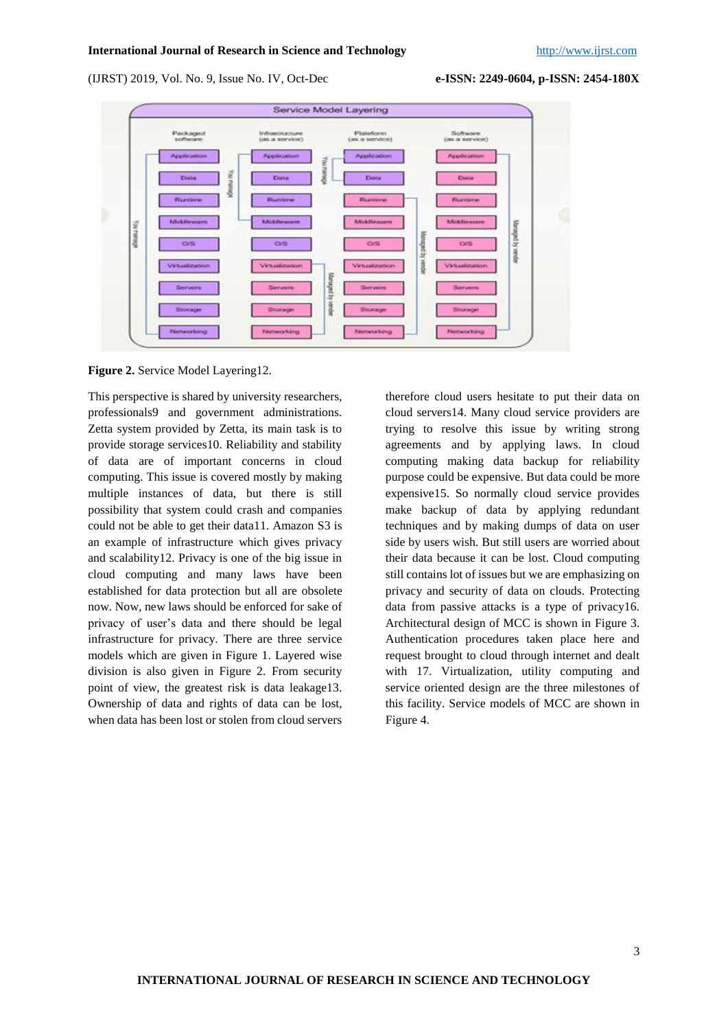(IJRST) 2019, Vol. No. 9, Issue No. IV, Oct-Dec **e-ISSN: 2249-0604, p-ISSN: 2454-180X**



**Figure 2.** Service Model Layering12.

This perspective is shared by university researchers, professionals9 and government administrations. Zetta system provided by Zetta, its main task is to provide storage services10. Reliability and stability of data are of important concerns in cloud computing. This issue is covered mostly by making multiple instances of data, but there is still possibility that system could crash and companies could not be able to get their data11. Amazon S3 is an example of infrastructure which gives privacy and scalability12. Privacy is one of the big issue in cloud computing and many laws have been established for data protection but all are obsolete now. Now, new laws should be enforced for sake of privacy of user's data and there should be legal infrastructure for privacy. There are three service models which are given in Figure 1. Layered wise division is also given in Figure 2. From security point of view, the greatest risk is data leakage13. Ownership of data and rights of data can be lost, when data has been lost or stolen from cloud servers

therefore cloud users hesitate to put their data on cloud servers14. Many cloud service providers are trying to resolve this issue by writing strong agreements and by applying laws. In cloud computing making data backup for reliability purpose could be expensive. But data could be more expensive15. So normally cloud service provides make backup of data by applying redundant techniques and by making dumps of data on user side by users wish. But still users are worried about their data because it can be lost. Cloud computing still contains lot of issues but we are emphasizing on privacy and security of data on clouds. Protecting data from passive attacks is a type of privacy16. Architectural design of MCC is shown in Figure 3. Authentication procedures taken place here and request brought to cloud through internet and dealt with 17. Virtualization, utility computing and service oriented design are the three milestones of this facility. Service models of MCC are shown in Figure 4.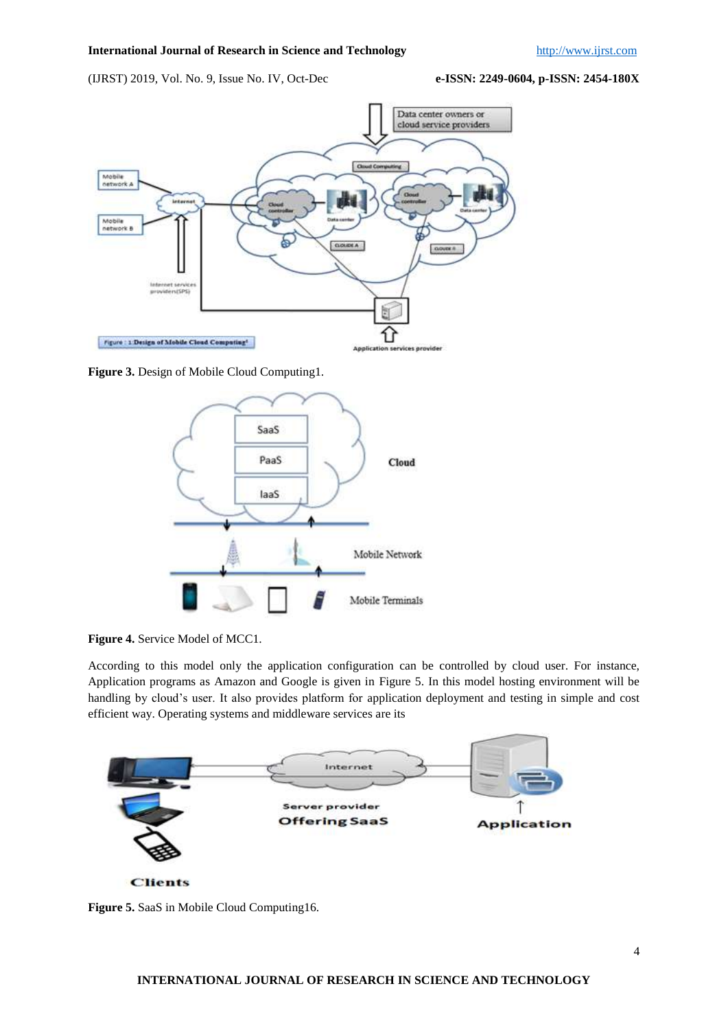(IJRST) 2019, Vol. No. 9, Issue No. IV, Oct-Dec **e-ISSN: 2249-0604, p-ISSN: 2454-180X**



**Figure 3.** Design of Mobile Cloud Computing1.



**Figure 4.** Service Model of MCC1.

According to this model only the application configuration can be controlled by cloud user. For instance, Application programs as Amazon and Google is given in Figure 5. In this model hosting environment will be handling by cloud's user. It also provides platform for application deployment and testing in simple and cost efficient way. Operating systems and middleware services are its



**Figure 5.** SaaS in Mobile Cloud Computing16.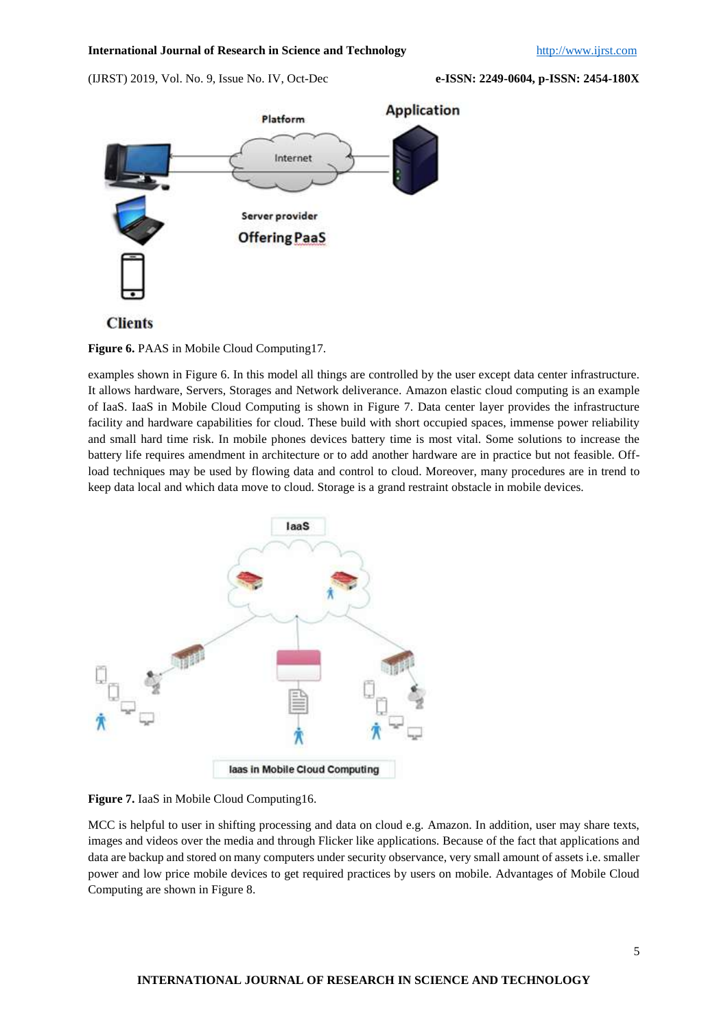(IJRST) 2019, Vol. No. 9, Issue No. IV, Oct-Dec **e-ISSN: 2249-0604, p-ISSN: 2454-180X**





**Clients** 

**Figure 6.** PAAS in Mobile Cloud Computing17.

examples shown in Figure 6. In this model all things are controlled by the user except data center infrastructure. It allows hardware, Servers, Storages and Network deliverance. Amazon elastic cloud computing is an example of IaaS. IaaS in Mobile Cloud Computing is shown in Figure 7. Data center layer provides the infrastructure facility and hardware capabilities for cloud. These build with short occupied spaces, immense power reliability and small hard time risk. In mobile phones devices battery time is most vital. Some solutions to increase the battery life requires amendment in architecture or to add another hardware are in practice but not feasible. Offload techniques may be used by flowing data and control to cloud. Moreover, many procedures are in trend to keep data local and which data move to cloud. Storage is a grand restraint obstacle in mobile devices.



**Figure 7.** IaaS in Mobile Cloud Computing16.

MCC is helpful to user in shifting processing and data on cloud e.g. Amazon. In addition, user may share texts, images and videos over the media and through Flicker like applications. Because of the fact that applications and data are backup and stored on many computers under security observance, very small amount of assets i.e. smaller power and low price mobile devices to get required practices by users on mobile. Advantages of Mobile Cloud Computing are shown in Figure 8.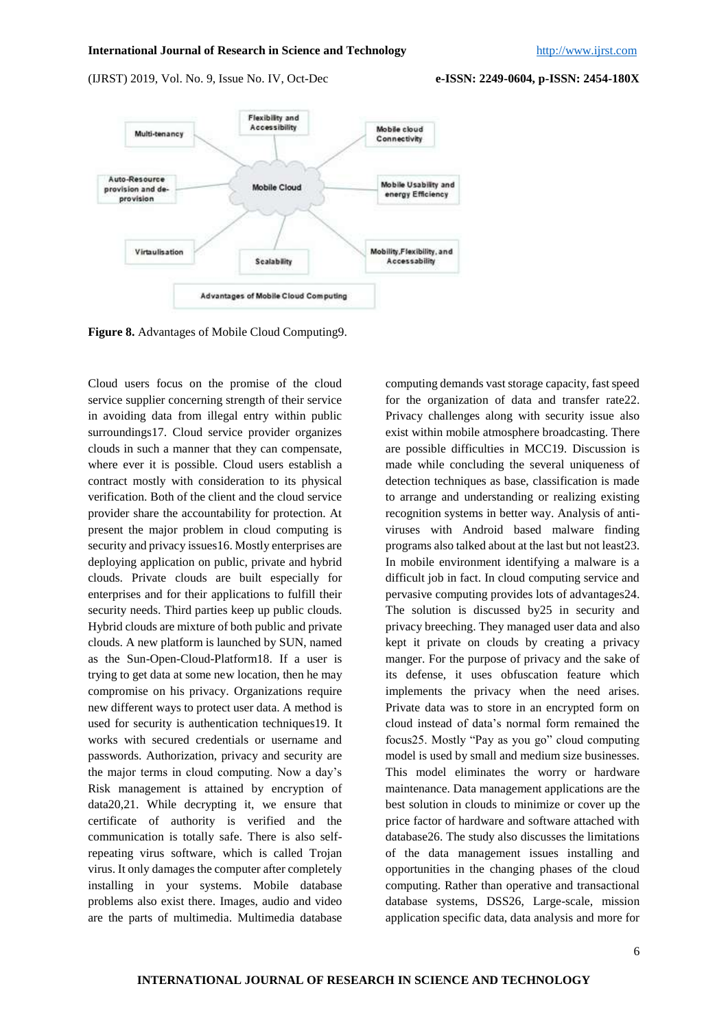(IJRST) 2019, Vol. No. 9, Issue No. IV, Oct-Dec **e-ISSN: 2249-0604, p-ISSN: 2454-180X**



**Figure 8.** Advantages of Mobile Cloud Computing9.

Cloud users focus on the promise of the cloud service supplier concerning strength of their service in avoiding data from illegal entry within public surroundings17. Cloud service provider organizes clouds in such a manner that they can compensate, where ever it is possible. Cloud users establish a contract mostly with consideration to its physical verification. Both of the client and the cloud service provider share the accountability for protection. At present the major problem in cloud computing is security and privacy issues16. Mostly enterprises are deploying application on public, private and hybrid clouds. Private clouds are built especially for enterprises and for their applications to fulfill their security needs. Third parties keep up public clouds. Hybrid clouds are mixture of both public and private clouds. A new platform is launched by SUN, named as the Sun-Open-Cloud-Platform18. If a user is trying to get data at some new location, then he may compromise on his privacy. Organizations require new different ways to protect user data. A method is used for security is authentication techniques19. It works with secured credentials or username and passwords. Authorization, privacy and security are the major terms in cloud computing. Now a day's Risk management is attained by encryption of data20,21. While decrypting it, we ensure that certificate of authority is verified and the communication is totally safe. There is also selfrepeating virus software, which is called Trojan virus. It only damages the computer after completely installing in your systems. Mobile database problems also exist there. Images, audio and video are the parts of multimedia. Multimedia database

computing demands vast storage capacity, fast speed for the organization of data and transfer rate22. Privacy challenges along with security issue also exist within mobile atmosphere broadcasting. There are possible difficulties in MCC19. Discussion is made while concluding the several uniqueness of detection techniques as base, classification is made to arrange and understanding or realizing existing recognition systems in better way. Analysis of antiviruses with Android based malware finding programs also talked about at the last but not least23. In mobile environment identifying a malware is a difficult job in fact. In cloud computing service and pervasive computing provides lots of advantages24. The solution is discussed by25 in security and privacy breeching. They managed user data and also kept it private on clouds by creating a privacy manger. For the purpose of privacy and the sake of its defense, it uses obfuscation feature which implements the privacy when the need arises. Private data was to store in an encrypted form on cloud instead of data's normal form remained the focus25. Mostly "Pay as you go" cloud computing model is used by small and medium size businesses. This model eliminates the worry or hardware maintenance. Data management applications are the best solution in clouds to minimize or cover up the price factor of hardware and software attached with database26. The study also discusses the limitations of the data management issues installing and opportunities in the changing phases of the cloud computing. Rather than operative and transactional database systems, DSS26, Large-scale, mission application specific data, data analysis and more for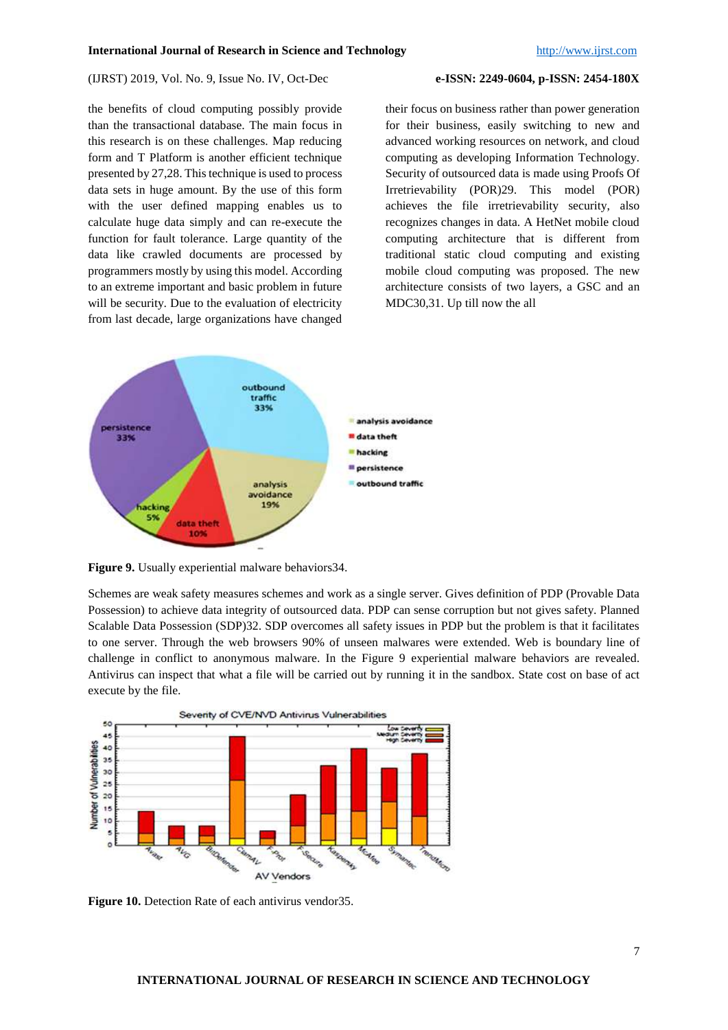the benefits of cloud computing possibly provide than the transactional database. The main focus in this research is on these challenges. Map reducing form and T Platform is another efficient technique presented by 27,28. This technique is used to process data sets in huge amount. By the use of this form with the user defined mapping enables us to calculate huge data simply and can re-execute the function for fault tolerance. Large quantity of the data like crawled documents are processed by programmers mostly by using this model. According to an extreme important and basic problem in future will be security. Due to the evaluation of electricity from last decade, large organizations have changed

their focus on business rather than power generation for their business, easily switching to new and advanced working resources on network, and cloud computing as developing Information Technology. Security of outsourced data is made using Proofs Of Irretrievability (POR)29. This model (POR) achieves the file irretrievability security, also recognizes changes in data. A HetNet mobile cloud computing architecture that is different from traditional static cloud computing and existing mobile cloud computing was proposed. The new architecture consists of two layers, a GSC and an MDC30,31. Up till now the all



Figure 9. Usually experiential malware behaviors 34.

Schemes are weak safety measures schemes and work as a single server. Gives definition of PDP (Provable Data Possession) to achieve data integrity of outsourced data. PDP can sense corruption but not gives safety. Planned Scalable Data Possession (SDP)32. SDP overcomes all safety issues in PDP but the problem is that it facilitates to one server. Through the web browsers 90% of unseen malwares were extended. Web is boundary line of challenge in conflict to anonymous malware. In the Figure 9 experiential malware behaviors are revealed. Antivirus can inspect that what a file will be carried out by running it in the sandbox. State cost on base of act execute by the file.



Figure 10. Detection Rate of each antivirus vendor35.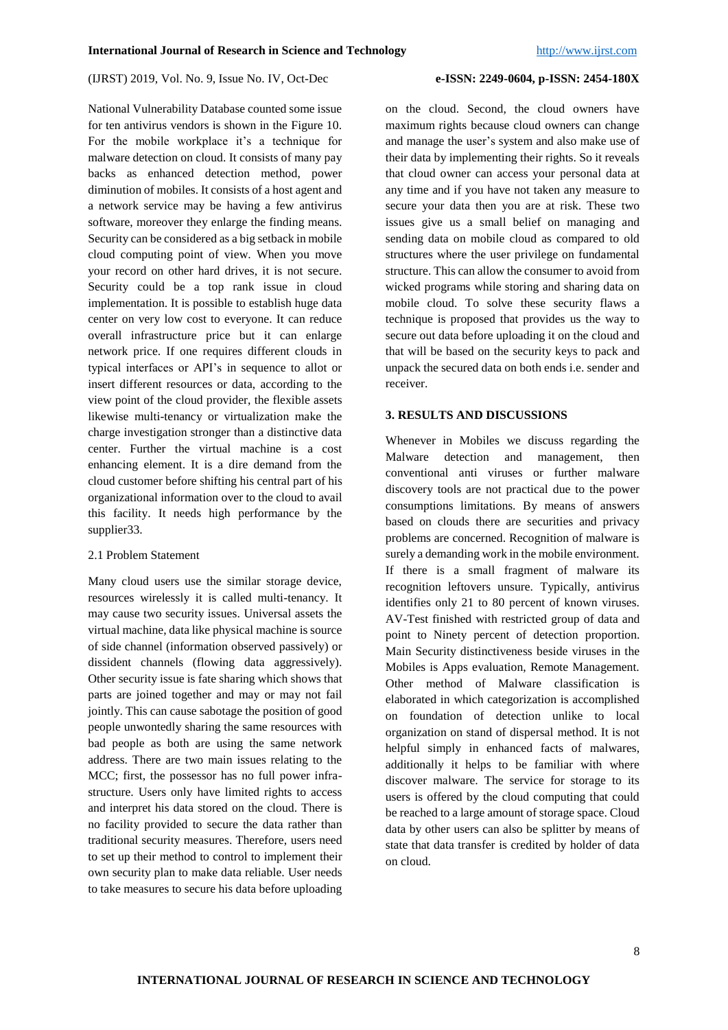National Vulnerability Database counted some issue for ten antivirus vendors is shown in the Figure 10. For the mobile workplace it's a technique for malware detection on cloud. It consists of many pay backs as enhanced detection method, power diminution of mobiles. It consists of a host agent and a network service may be having a few antivirus software, moreover they enlarge the finding means. Security can be considered as a big setback in mobile cloud computing point of view. When you move your record on other hard drives, it is not secure. Security could be a top rank issue in cloud implementation. It is possible to establish huge data center on very low cost to everyone. It can reduce overall infrastructure price but it can enlarge network price. If one requires different clouds in typical interfaces or API's in sequence to allot or insert different resources or data, according to the view point of the cloud provider, the flexible assets likewise multi-tenancy or virtualization make the charge investigation stronger than a distinctive data center. Further the virtual machine is a cost enhancing element. It is a dire demand from the cloud customer before shifting his central part of his organizational information over to the cloud to avail this facility. It needs high performance by the supplier33.

# 2.1 Problem Statement

Many cloud users use the similar storage device, resources wirelessly it is called multi-tenancy. It may cause two security issues. Universal assets the virtual machine, data like physical machine is source of side channel (information observed passively) or dissident channels (flowing data aggressively). Other security issue is fate sharing which shows that parts are joined together and may or may not fail jointly. This can cause sabotage the position of good people unwontedly sharing the same resources with bad people as both are using the same network address. There are two main issues relating to the MCC; first, the possessor has no full power infrastructure. Users only have limited rights to access and interpret his data stored on the cloud. There is no facility provided to secure the data rather than traditional security measures. Therefore, users need to set up their method to control to implement their own security plan to make data reliable. User needs to take measures to secure his data before uploading

on the cloud. Second, the cloud owners have maximum rights because cloud owners can change and manage the user's system and also make use of their data by implementing their rights. So it reveals that cloud owner can access your personal data at any time and if you have not taken any measure to secure your data then you are at risk. These two issues give us a small belief on managing and sending data on mobile cloud as compared to old structures where the user privilege on fundamental structure. This can allow the consumer to avoid from wicked programs while storing and sharing data on mobile cloud. To solve these security flaws a technique is proposed that provides us the way to secure out data before uploading it on the cloud and that will be based on the security keys to pack and unpack the secured data on both ends i.e. sender and receiver.

### **3. RESULTS AND DISCUSSIONS**

Whenever in Mobiles we discuss regarding the Malware detection and management, then conventional anti viruses or further malware discovery tools are not practical due to the power consumptions limitations. By means of answers based on clouds there are securities and privacy problems are concerned. Recognition of malware is surely a demanding work in the mobile environment. If there is a small fragment of malware its recognition leftovers unsure. Typically, antivirus identifies only 21 to 80 percent of known viruses. AV-Test finished with restricted group of data and point to Ninety percent of detection proportion. Main Security distinctiveness beside viruses in the Mobiles is Apps evaluation, Remote Management. Other method of Malware classification is elaborated in which categorization is accomplished on foundation of detection unlike to local organization on stand of dispersal method. It is not helpful simply in enhanced facts of malwares, additionally it helps to be familiar with where discover malware. The service for storage to its users is offered by the cloud computing that could be reached to a large amount of storage space. Cloud data by other users can also be splitter by means of state that data transfer is credited by holder of data on cloud.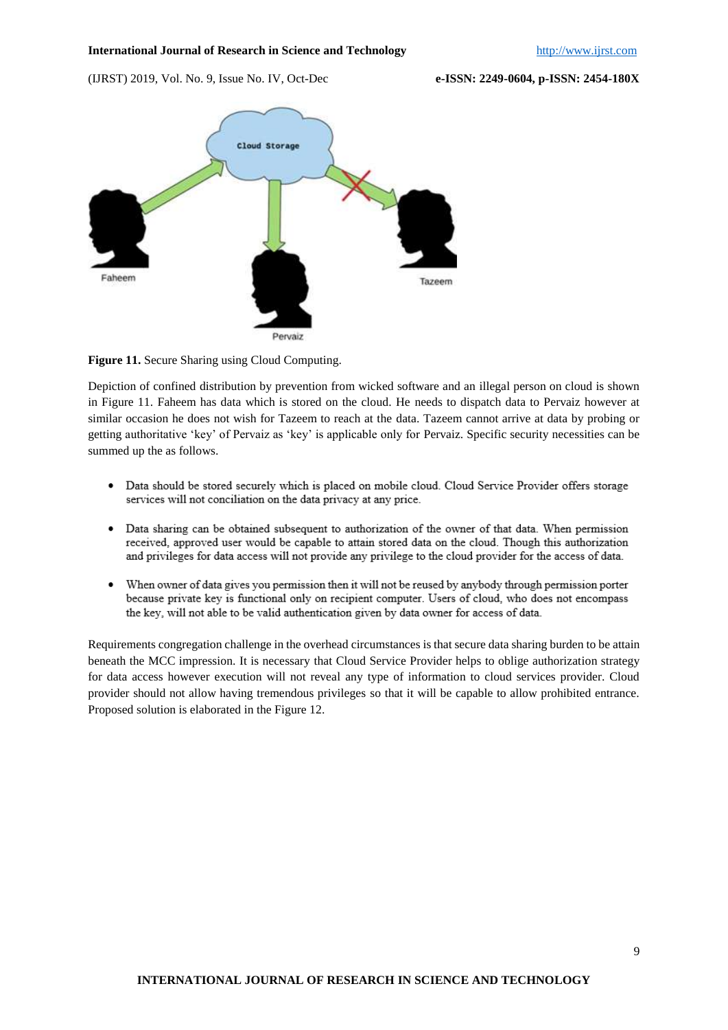# **International Journal of Research in Science and Technology [http://www.ijrst.com](http://www.ijrst.com/)**

(IJRST) 2019, Vol. No. 9, Issue No. IV, Oct-Dec **e-ISSN: 2249-0604, p-ISSN: 2454-180X**



**Figure 11.** Secure Sharing using Cloud Computing.

Depiction of confined distribution by prevention from wicked software and an illegal person on cloud is shown in Figure 11. Faheem has data which is stored on the cloud. He needs to dispatch data to Pervaiz however at similar occasion he does not wish for Tazeem to reach at the data. Tazeem cannot arrive at data by probing or getting authoritative 'key' of Pervaiz as 'key' is applicable only for Pervaiz. Specific security necessities can be summed up the as follows.

- Data should be stored securely which is placed on mobile cloud. Cloud Service Provider offers storage services will not conciliation on the data privacy at any price.
- · Data sharing can be obtained subsequent to authorization of the owner of that data. When permission received, approved user would be capable to attain stored data on the cloud. Though this authorization and privileges for data access will not provide any privilege to the cloud provider for the access of data.
- When owner of data gives you permission then it will not be reused by anybody through permission porter because private key is functional only on recipient computer. Users of cloud, who does not encompass the key, will not able to be valid authentication given by data owner for access of data.

Requirements congregation challenge in the overhead circumstances is that secure data sharing burden to be attain beneath the MCC impression. It is necessary that Cloud Service Provider helps to oblige authorization strategy for data access however execution will not reveal any type of information to cloud services provider. Cloud provider should not allow having tremendous privileges so that it will be capable to allow prohibited entrance. Proposed solution is elaborated in the Figure 12.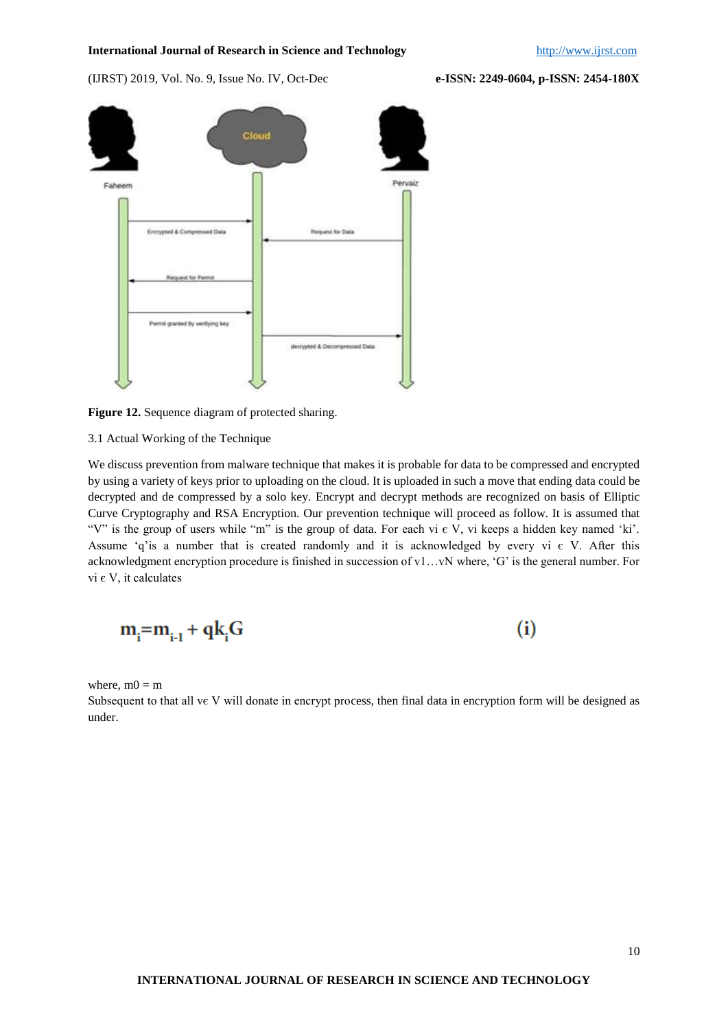(IJRST) 2019, Vol. No. 9, Issue No. IV, Oct-Dec **e-ISSN: 2249-0604, p-ISSN: 2454-180X**





**Figure 12.** Sequence diagram of protected sharing.

3.1 Actual Working of the Technique

We discuss prevention from malware technique that makes it is probable for data to be compressed and encrypted by using a variety of keys prior to uploading on the cloud. It is uploaded in such a move that ending data could be decrypted and de compressed by a solo key. Encrypt and decrypt methods are recognized on basis of Elliptic Curve Cryptography and RSA Encryption. Our prevention technique will proceed as follow. It is assumed that "V" is the group of users while "m" is the group of data. For each vi  $\epsilon$  V, vi keeps a hidden key named 'ki'. Assume 'q'is a number that is created randomly and it is acknowledged by every vi  $\epsilon$  V. After this acknowledgment encryption procedure is finished in succession of v1…vN where, 'G' is the general number. For vi є V, it calculates

$$
m_i = m_{i-1} + qk_i G \tag{i}
$$

where,  $m0 = m$ 

Subsequent to that all v $\epsilon$  V will donate in encrypt process, then final data in encryption form will be designed as under.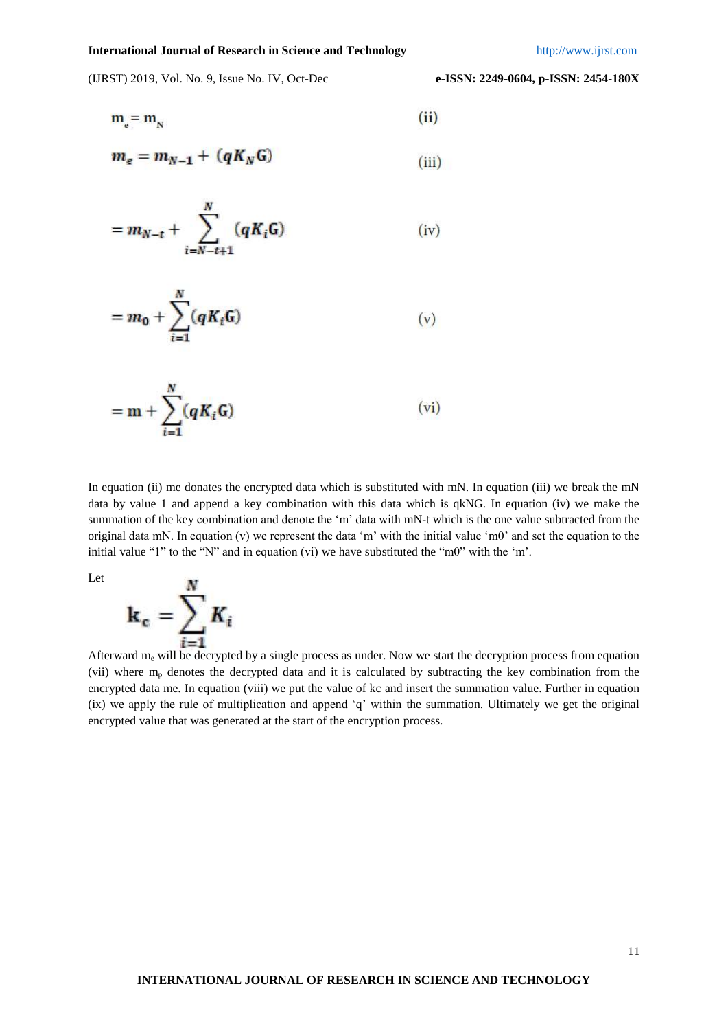(IJRST) 2019, Vol. No. 9, Issue No. IV, Oct-Dec **e-ISSN: 2249-0604, p-ISSN: 2454-180X**

ng.

ner.

$$
m_e = m_N \tag{ii}
$$

$$
m_e = m_{N-1} + (qK_N G) \tag{iii}
$$

$$
= m_{N-t} + \sum_{i=N-t+1}^{N} (qK_i G)
$$
 (iv)

$$
= m_0 + \sum_{i=1}^{N} (qK_i G) \tag{v}
$$

$$
= \mathbf{m} + \sum_{i=1}^{N} (qK_i \mathbf{G})
$$
 (vi)

In equation (ii) me donates the encrypted data which is substituted with mN. In equation (iii) we break the mN data by value 1 and append a key combination with this data which is qkNG. In equation (iv) we make the summation of the key combination and denote the 'm' data with mN-t which is the one value subtracted from the original data mN. In equation (v) we represent the data 'm' with the initial value 'm0' and set the equation to the initial value "1" to the "N" and in equation (vi) we have substituted the "m0" with the 'm'.

Let

$$
\mathbf{k}_{\mathbf{c}} = \sum_{i=1}^{N} K_i
$$

Afterward  $m_e$  will be decrypted by a single process as under. Now we start the decryption process from equation (vii) where  $m_p$  denotes the decrypted data and it is calculated by subtracting the key combination from the encrypted data me. In equation (viii) we put the value of kc and insert the summation value. Further in equation (ix) we apply the rule of multiplication and append 'q' within the summation. Ultimately we get the original encrypted value that was generated at the start of the encryption process.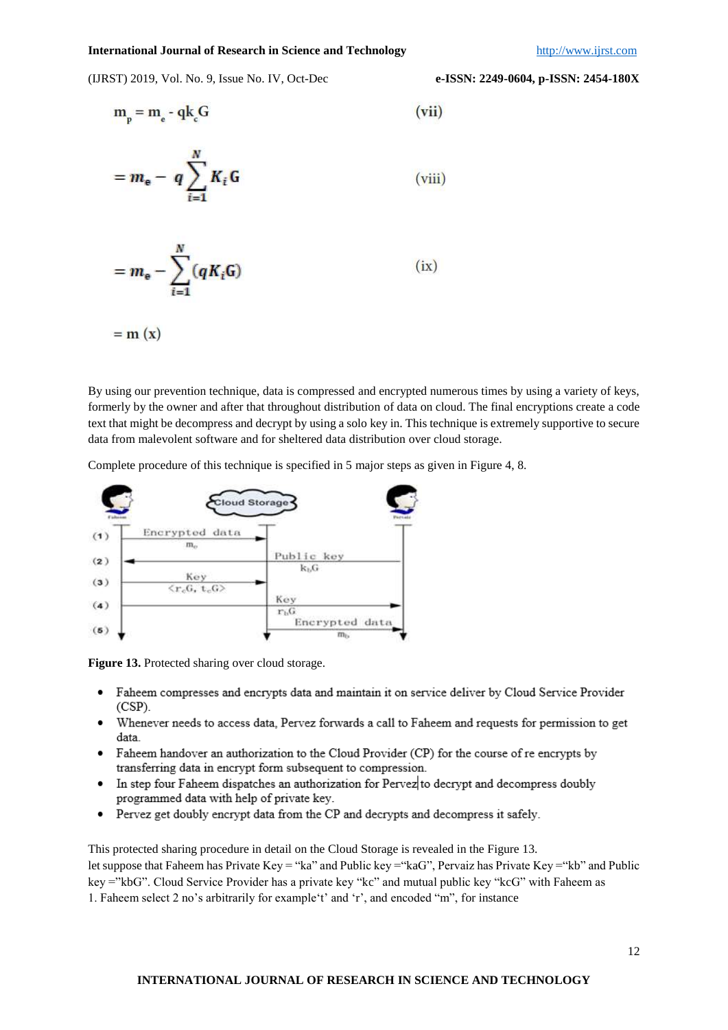(IJRST) 2019, Vol. No. 9, Issue No. IV, Oct-Dec **e**-

$$
m_{p} = m_{e} - qk_{c}G
$$
 (vii)  

$$
= m_{e} - q \sum_{i=1}^{N} K_{i} G
$$
 (viii)

$$
= m_{\rm e} - \sum_{i=1}^{n} (q K_i G) \tag{ix}
$$

 $=$  m  $(x)$ 

M

By using our prevention technique, data is compressed and encrypted numerous times by using a variety of keys, formerly by the owner and after that throughout distribution of data on cloud. The final encryptions create a code text that might be decompress and decrypt by using a solo key in. This technique is extremely supportive to secure data from malevolent software and for sheltered data distribution over cloud storage.

Complete procedure of this technique is specified in 5 major steps as given in Figure 4, 8.



**Figure 13.** Protected sharing over cloud storage.

- Faheem compresses and encrypts data and maintain it on service deliver by Cloud Service Provider  $(CSP)$ .
- Whenever needs to access data, Pervez forwards a call to Faheem and requests for permission to get data.
- Faheem handover an authorization to the Cloud Provider (CP) for the course of re encrypts by transferring data in encrypt form subsequent to compression.
- $\bullet$ In step four Faheem dispatches an authorization for Pervez to decrypt and decompress doubly programmed data with help of private key.
- Pervez get doubly encrypt data from the CP and decrypts and decompress it safely.

This protected sharing procedure in detail on the Cloud Storage is revealed in the Figure 13. let suppose that Faheem has Private Key = "ka" and Public key ="kaG", Pervaiz has Private Key ="kb" and Public key ="kbG". Cloud Service Provider has a private key "kc" and mutual public key "kcG" with Faheem as 1. Faheem select 2 no's arbitrarily for example't' and 'r', and encoded "m", for instance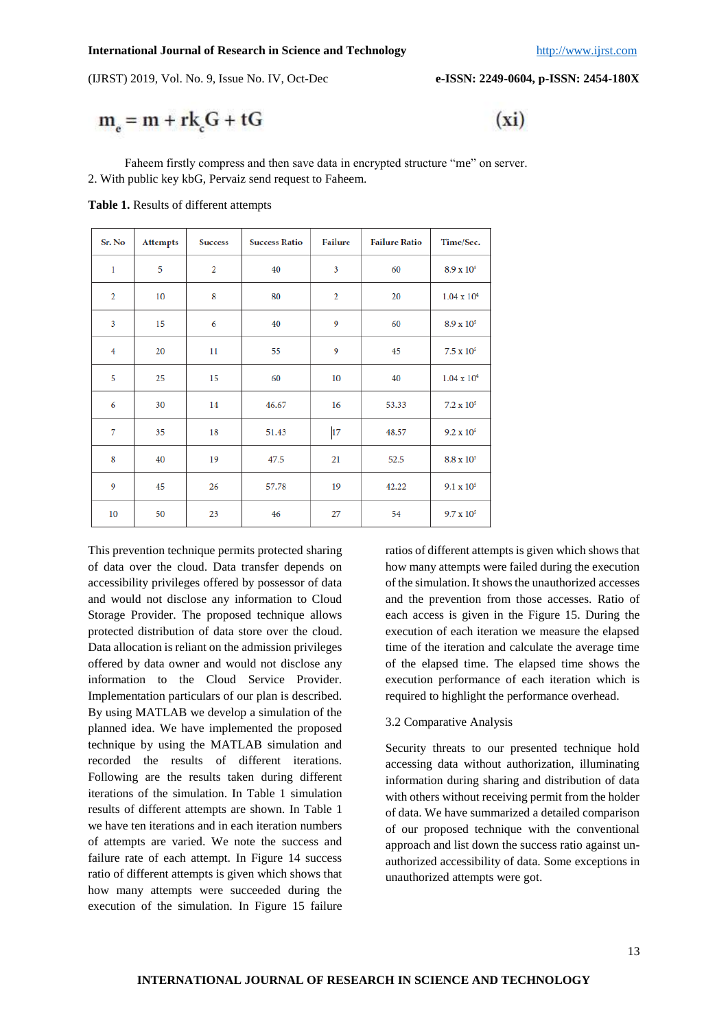$$
\mathbf{m}_{\mathbf{e}} = \mathbf{m} + \mathbf{r}\mathbf{k}_{\mathbf{c}}\mathbf{G} + \mathbf{t}\mathbf{G}
$$

 $(x_i)$ 

Faheem firstly compress and then save data in encrypted structure "me" on server. 2. With public key kbG, Pervaiz send request to Faheem.

**Table 1.** Results of different attempts

| Sr. No         | <b>Attempts</b> | <b>Success</b> | <b>Success Ratio</b> | <b>Failure</b> | <b>Failure Ratio</b> | Time/Sec.           |
|----------------|-----------------|----------------|----------------------|----------------|----------------------|---------------------|
| $\mathbf{1}$   | 5               | $\overline{2}$ | 40                   | 3              | 60                   | $8.9 \times 10^{5}$ |
| $\overline{2}$ | 10              | 8              | 80                   | $\overline{2}$ | 20                   | $1.04 \times 10^4$  |
| 3              | 15              | 6              | 40                   | 9              | 60                   | $8.9 \times 10^{5}$ |
| $\overline{4}$ | 20              | 11             | 55                   | 9              | 45                   | $7.5 \times 10^{5}$ |
| 5              | 25              | 15             | 60                   | 10             | 40                   | $1.04 \times 10^4$  |
| 6              | 30              | 14             | 46.67                | 16             | 53.33                | $7.2 \times 10^5$   |
| 7              | 35              | 18             | 51.43                | 17             | 48.57                | $9.2 \times 10^{5}$ |
| 8              | 40              | 19             | 47.5                 | 21             | 52.5                 | $8.8 \times 10^{5}$ |
| 9              | 45              | 26             | 57.78                | 19             | 42.22                | $9.1 \times 10^{5}$ |
| 10             | 50              | 23             | 46                   | 27             | 54                   | $9.7 \times 10^{5}$ |

This prevention technique permits protected sharing of data over the cloud. Data transfer depends on accessibility privileges offered by possessor of data and would not disclose any information to Cloud Storage Provider. The proposed technique allows protected distribution of data store over the cloud. Data allocation is reliant on the admission privileges offered by data owner and would not disclose any information to the Cloud Service Provider. Implementation particulars of our plan is described. By using MATLAB we develop a simulation of the planned idea. We have implemented the proposed technique by using the MATLAB simulation and recorded the results of different iterations. Following are the results taken during different iterations of the simulation. In Table 1 simulation results of different attempts are shown. In Table 1 we have ten iterations and in each iteration numbers of attempts are varied. We note the success and failure rate of each attempt. In Figure 14 success ratio of different attempts is given which shows that how many attempts were succeeded during the execution of the simulation. In Figure 15 failure

ratios of different attempts is given which shows that how many attempts were failed during the execution of the simulation. It shows the unauthorized accesses and the prevention from those accesses. Ratio of each access is given in the Figure 15. During the execution of each iteration we measure the elapsed time of the iteration and calculate the average time of the elapsed time. The elapsed time shows the execution performance of each iteration which is required to highlight the performance overhead.

### 3.2 Comparative Analysis

Security threats to our presented technique hold accessing data without authorization, illuminating information during sharing and distribution of data with others without receiving permit from the holder of data. We have summarized a detailed comparison of our proposed technique with the conventional approach and list down the success ratio against unauthorized accessibility of data. Some exceptions in unauthorized attempts were got.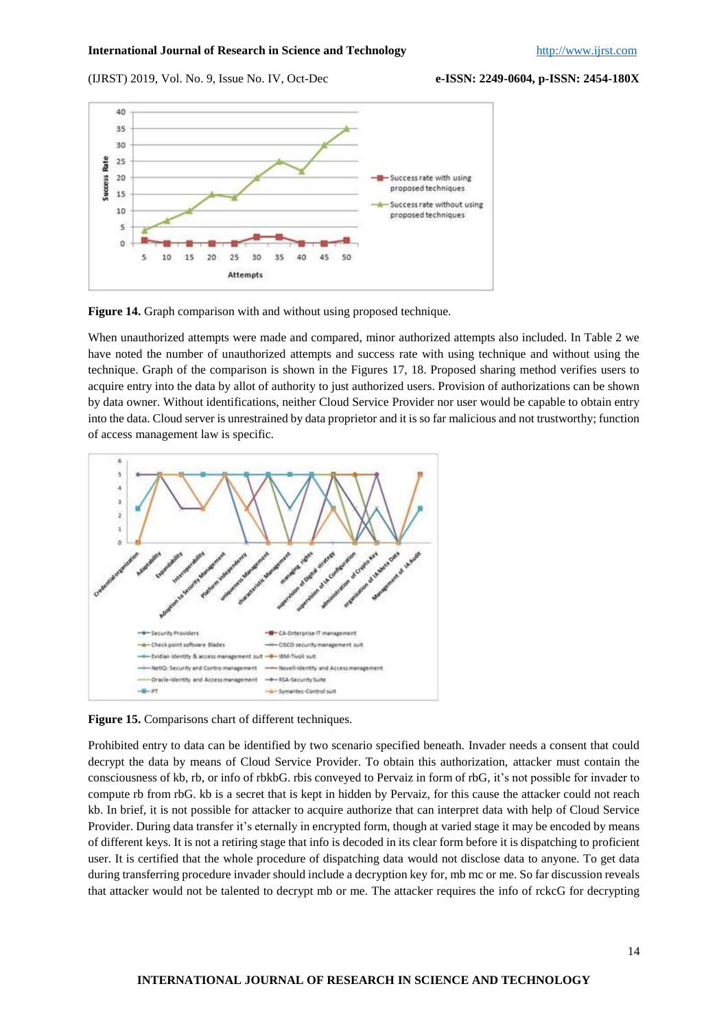(IJRST) 2019, Vol. No. 9, Issue No. IV, Oct-Dec **e-ISSN: 2249-0604, p-ISSN: 2454-180X**



**Figure 14.** Graph comparison with and without using proposed technique.

When unauthorized attempts were made and compared, minor authorized attempts also included. In Table 2 we have noted the number of unauthorized attempts and success rate with using technique and without using the technique. Graph of the comparison is shown in the Figures 17, 18. Proposed sharing method verifies users to acquire entry into the data by allot of authority to just authorized users. Provision of authorizations can be shown by data owner. Without identifications, neither Cloud Service Provider nor user would be capable to obtain entry into the data. Cloud server is unrestrained by data proprietor and it is so far malicious and not trustworthy; function of access management law is specific.



Figure 15. Comparisons chart of different techniques.

Prohibited entry to data can be identified by two scenario specified beneath. Invader needs a consent that could decrypt the data by means of Cloud Service Provider. To obtain this authorization, attacker must contain the consciousness of kb, rb, or info of rbkbG. rbis conveyed to Pervaiz in form of rbG, it's not possible for invader to compute rb from rbG. kb is a secret that is kept in hidden by Pervaiz, for this cause the attacker could not reach kb. In brief, it is not possible for attacker to acquire authorize that can interpret data with help of Cloud Service Provider. During data transfer it's eternally in encrypted form, though at varied stage it may be encoded by means of different keys. It is not a retiring stage that info is decoded in its clear form before it is dispatching to proficient user. It is certified that the whole procedure of dispatching data would not disclose data to anyone. To get data during transferring procedure invader should include a decryption key for, mb mc or me. So far discussion reveals that attacker would not be talented to decrypt mb or me. The attacker requires the info of rckcG for decrypting